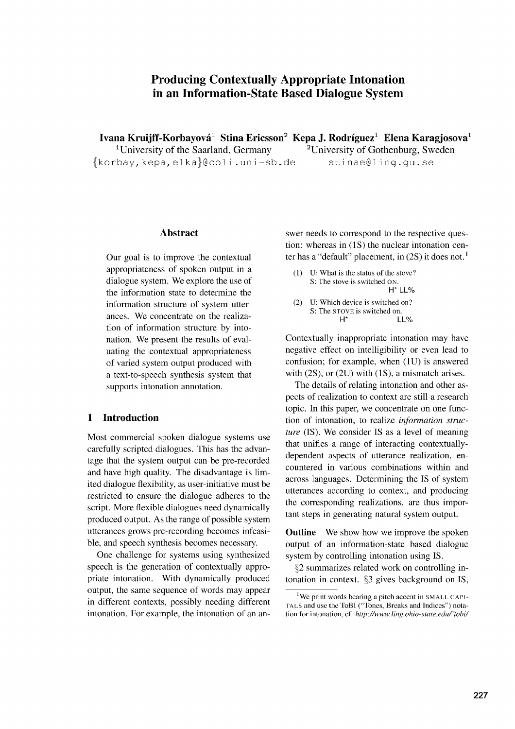# **Producing Contextually Appropriate Intonation in an Information-State Based Dialogue System**

**Ivana Kruijff-Korbayová<sup>1</sup> Stina Ericsson<sup>2</sup> Kepa J. Rodríguez<sup>1</sup> Elena Karagjosova<sup>1</sup>** <sup>1</sup>University of the Saarland, Germany  $2$ <sup>2</sup>University of Gothenburg, Sweden fkorbay,kepa,elkal@coli.uni - sb.de stinae@ling.gu.se

## **Abstract**

Our goal is to improve the contextual appropriateness of spoken output in a dialogue system. We explore the use of the information state to determine the information structure of system utterances. We concentrate on the realization of information structure by intonation. We present the results of evaluating the contextual appropriateness of varied system output produced with a text-to-speech synthesis system that supports intonation annotation.

## **1 Introduction**

Most commercial spoken dialogue systems use carefully scripted dialogues. This has the advantage that the system output can be pre-recorded and have high quality. The disadvantage is limited dialogue flexibility, as user-initiative must be restricted to ensure the dialogue adheres to the script. More flexible dialogues need dynamically produced output. As the range of possible system utterances grows pre-recording becomes infeasible, and speech synthesis becomes necessary.

One challenge for systems using synthesized speech is the generation of contextually appropriate intonation. With dynamically produced output, the same sequence of words may appear in different contexts, possibly needing different intonation. For example, the intonation of an answer needs to correspond to the respective question: whereas in (1S) the nuclear intonation center has a "default" placement, in  $(2S)$  it does not.<sup>1</sup>

- (1) U: What is the status of the stove? S: The stove is switched ON.  $H^*$  | | %
- (2) U: Which device is switched on? S: The STOVE is switched on.<br> $H^*$  $H\%$

Contextually inappropriate intonation may have negative effect on intelligibility or even lead to confusion; for example, when (1U) is answered with (2S), or (2U) with (1S), a mismatch arises.

The details of relating intonation and other aspects of realization to context are still a research topic. In this paper, we concentrate on one function of intonation, to realize *information structure* (IS). We consider IS as a level of meaning that unifies a range of interacting contextuallydependent aspects of utterance realization, encountered in various combinations within and across languages. Determining the IS of system utterances according to context, and producing the corresponding realizations, are thus important steps in generating natural system output.

**Outline** We show how we improve the spoken output of an information-state based dialogue system by controlling intonation using IS.

§2 summarizes related work on controlling intonation in context. §3 gives background on IS,

<sup>&</sup>lt;sup>1</sup>We print words bearing a pitch accent in SMALL CAPI-TALS and use the ToBI ("Tones, Breaks and Indices") notation for intonation, cf. http://www.ling.ohio-state.edu/<sup>\*tobi/</sup>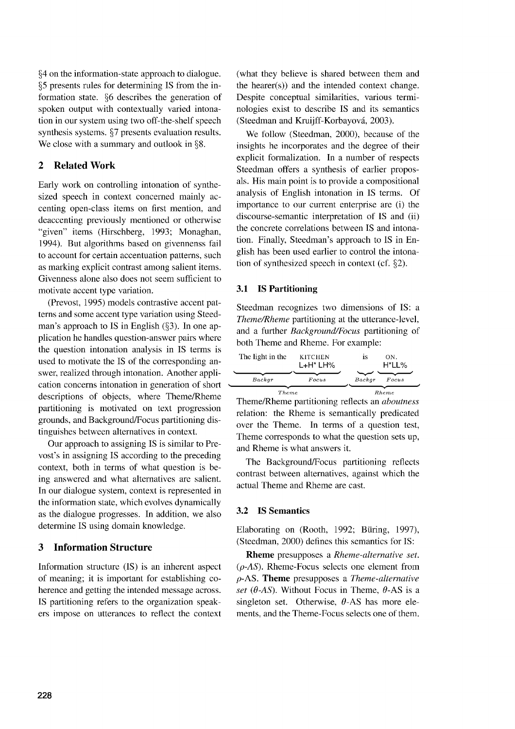§4 on the information-state approach to dialogue. §5 presents rules for determining IS from the information state. §6 describes the generation of spoken output with contextually varied intonation in our system using two off-the-shelf speech synthesis systems. §7 presents evaluation results. We close with a summary and outlook in §8.

## **2 Related Work**

Early work on controlling intonation of synthesized speech in context concerned mainly accenting open-class items on first mention, and deaccenting previously mentioned or otherwise "given" items (Hirschberg, 1993; Monaghan, 1994). But algorithms based on givennenss fail to account for certain accentuation patterns, such as marking explicit contrast among salient items. Givenness alone also does not seem sufficient to motivate accent type variation.

(Prevost, 1995) models contrastive accent patterns and some accent type variation using Steedman's approach to IS in English (§3). In one application he handles question-answer pairs where the question intonation analysis in IS terms is used to motivate the IS of the corresponding answer, realized through intonation. Another application concerns intonation in generation of short descriptions of objects, where Theme/Rheme partitioning is motivated on text progression grounds, and Background/Focus partitioning distinguishes between alternatives in context.

Our approach to assigning IS is similar to Prevost's in assigning IS according to the preceding context, both in terms of what question is being answered and what alternatives are salient. In our dialogue system, context is represented in the information state, which evolves dynamically as the dialogue progresses. In addition, we also determine IS using domain knowledge.

#### **3 Information Structure**

Information structure (IS) is an inherent aspect of meaning; it is important for establishing coherence and getting the intended message across. IS partitioning refers to the organization speakers impose on utterances to reflect the context (what they believe is shared between them and the hearer(s)) and the intended context change. Despite conceptual similarities, various terminologies exist to describe IS and its semantics (Steedman and Kruijff-Korbayova, 2003).

We follow (Steedman, 2000), because of the insights he incorporates and the degree of their explicit formalization. In a number of respects Steedman offers a synthesis of earlier proposals. His main point is to provide a compositional analysis of English intonation in IS terms. Of importance to our current enterprise are (i) the discourse-semantic interpretation of IS and (ii) the concrete correlations between IS and intonation. Finally, Steedman's approach to IS in English has been used earlier to control the intonation of synthesized speech in context (cf. §2).

#### 3.1 IS Partitioning

Steedman recognizes two dimensions of IS: a *Theme/Rheme* partitioning at the utterance-level, and a further *Background/Focus* partitioning of both Theme and Rheme. For example:

| The light in the | <b>KITCHEN</b><br>$L+H^*L$ H% | 1S     | ON.<br>H*LL% |
|------------------|-------------------------------|--------|--------------|
| Backer           | Focus                         | Backer | Focus        |
| Theme            |                               |        | Rheme        |

Theme/Rheme partitioning reflects an *aboutness* relation: the Rheme is semantically predicated over the Theme. In terms of a question test, Theme corresponds to what the question sets up, and Rheme is what answers it.

The Background/Focus partitioning reflects contrast between alternatives, against which the actual Theme and Rheme are cast.

#### 3.2 IS Semantics

Elaborating on (Rooth, 1992; Büring, 1997), (Steedman, 2000) defines this semantics for IS:

Rheme presupposes a *Rheme-alternative set. (p-AS).* Rheme-Focus selects one element from p-AS. Theme presupposes a *Theme-alternative set (* $\theta$ *-AS).* Without Focus in Theme,  $\theta$ -AS is a singleton set. Otherwise,  $\theta$ -AS has more elements, and the Theme-Focus selects one of them.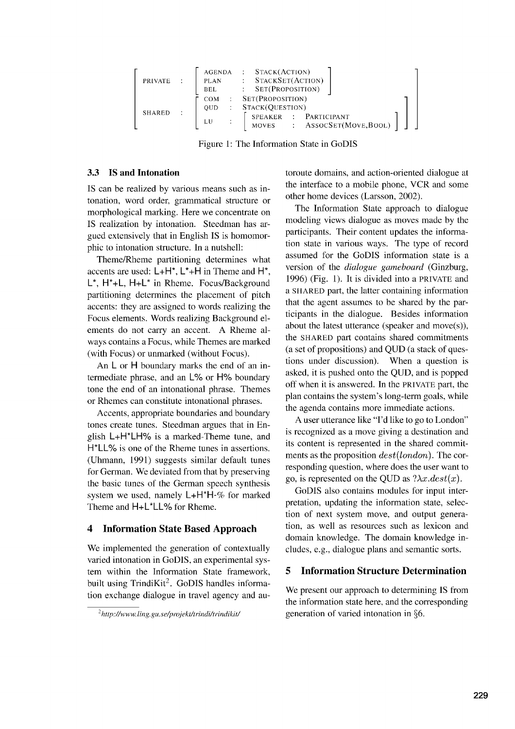| PRIVATE                 | PLAN<br>BEL      | AGENDA : STACK(ACTION)<br>STACKSET(ACTION)<br>$:$ SET(PROPOSITION)                                  |
|-------------------------|------------------|-----------------------------------------------------------------------------------------------------|
| SHARED<br>$\mathcal{L}$ | COM<br>OUD<br>LU | SET(PROPOSITION)<br>: $STACK(QUESTION)$<br>: PARTICIPANT<br>SPEAKER<br>MOVES : ASSOCSET(MOVE, BOOL) |

Figure 1: The Information State in GoDIS

#### 3.3 IS and Intonation

IS can be realized by various means such as intonation, word order, grammatical structure or morphological marking. Here we concentrate on IS realization by intonation. Steedman has argued extensively that in English IS is homomorphic to intonation structure. In a nutshell:

Theme/Rheme partitioning determines what accents are used: L+H\*, L\*+H in Theme and H\*, L\*, H\*+L, H+L\* in Rheme. Focus/Background partitioning determines the placement of pitch accents: they are assigned to words realizing the Focus elements. Words realizing Background elements do not carry an accent. A Rheme always contains a Focus, while Themes are marked (with Focus) or unmarked (without Focus).

An L or H boundary marks the end of an intermediate phrase, and an L% or H% boundary tone the end of an intonational phrase. Themes or Rhemes can constitute intonational phrases.

Accents, appropriate boundaries and boundary tones create tunes. Steedman argues that in English L+H\*LH% is a marked-Theme tune, and H<sup>\*</sup>LL% is one of the Rheme tunes in assertions. (Uhmann, 1991) suggests similar default tunes for German. We deviated from that by preserving the basic tunes of the German speech synthesis system we used, namely L+H\*H-% for marked Theme and  $H + L^*LL\%$  for Rheme.

## 4 **Information State Based Approach**

We implemented the generation of contextually varied intonation in GoDIS, an experimental system within the Information State framework, built using  $TrindiKi<sup>2</sup>$ . GoDIS handles information exchange dialogue in travel agency and autoroute domains, and action-oriented dialogue at the interface to a mobile phone, VCR and some other home devices (Larsson, 2002).

The Information State approach to dialogue modeling views dialogue as moves made by the participants. Their content updates the information state in various ways. The type of record assumed for the GoDIS information state is a version of the *dialogue gameboard* (Ginzburg, 1996) (Fig. 1). It is divided into a PRIVATE and a SHARED part, the latter containing information that the agent assumes to be shared by the participants in the dialogue. Besides information about the latest utterance (speaker and move(s)), the SHARED part contains shared commitments (a set of propositions) and QUD (a stack of questions under discussion). When a question is asked, it is pushed onto the QUD, and is popped off when it is answered. In the PRIVATE part, the plan contains the system's long-term goals, while the agenda contains more immediate actions.

A user utterance like "I'd like to go to London" is recognized as a move giving a destination and its content is represented in the shared commitments as the proposition *dest(london).* The corresponding question, where does the user want to go, is represented on the QUD as  $?\lambda x.dest(x)$ .

GoDIS also contains modules for input interpretation, updating the information state, selection of next system move, and output generation, as well as resources such as lexicon and domain knowledge. The domain knowledge includes, e.g., dialogue plans and semantic sorts.

## **5 Information Structure Determination**

We present our approach to determining IS from the information state here, and the corresponding generation of varied intonation in §6.

<sup>2</sup> *http://www.ling.gu.se/projektfirindifirindikit/*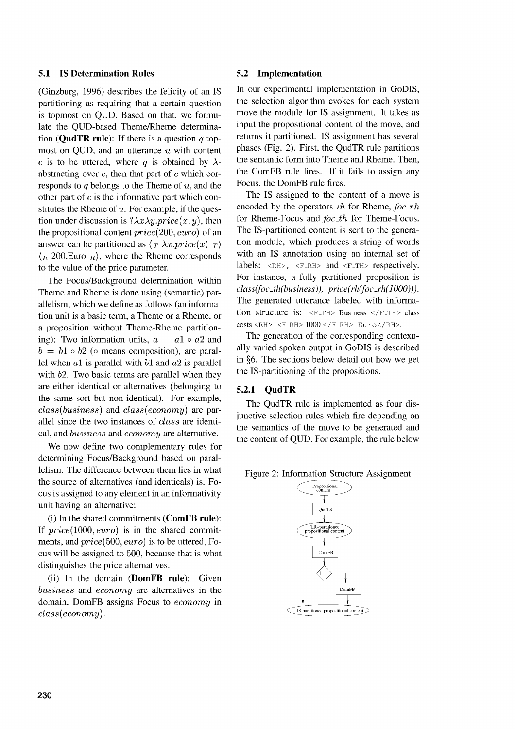#### **5.1 IS Determination Rules**

(Ginzburg, 1996) describes the felicity of an IS partitioning as requiring that a certain question is topmost on QUD. Based on that, we formulate the QUD-based Theme/Rheme determination **(QudTR rule):** If there is a question *q* topmost on QUD, and an utterance  $u$  with content c is to be uttered, where q is obtained by  $\lambda$ abstracting over *c,* then that part of *c* which corresponds to  $q$  belongs to the Theme of  $u$ , and the other part of *c* is the informative part which constitutes the Rheme of  $u$ . For example, if the question under discussion is  $? \lambda x \lambda y \cdot price(x, y)$ , then the propositional content *price(200, euro)* of an answer can be partitioned as  $\langle T \lambda x. price(x) \rangle T$  $\langle R \nvert 200, \text{Euro } R \rangle$ , where the Rheme corresponds to the value of the price parameter.

The Focus/Background determination within Theme and Rheme is done using (semantic) parallelism, which we define as follows (an information unit is a basic term, a Theme or a Rheme, or a proposition without Theme-Rheme partitioning): Two information units,  $a = a1 \circ a2$  and  $b = b1 \circ b2$  ( $\circ$  means composition), are parallel when  $a1$  is parallel with  $b1$  and  $a2$  is parallel with b2. Two basic terms are parallel when they are either identical or alternatives (belonging to the same sort but non-identical). For example, *class(business)* and *class(economy)* are parallel since the two instances of *class* are identical, and *business* and *economy* are alternative.

We now define two complementary rules for determining Focus/Background based on parallelism. The difference between them lies in what the source of alternatives (and identicals) is. Focus is assigned to any element in an informativity unit having an alternative:

(i) In the shared commitments **(ComFB rule):** If *price*(1000, *euro*) is in the shared commitments, and *price(500, euro) is* to be uttered, Focus will be assigned to 500, because that is what distinguishes the price alternatives.

(ii) In the domain **(DomFB rule):** Given *business* and *economy* are alternatives in the domain, DomFB assigns Focus to *economy* in *class (economy).*

#### **5.2 Implementation**

In our experimental implementation in GoDIS, the selection algorithm evokes for each system move the module for IS assignment. It takes as input the propositional content of the move, and returns it partitioned. IS assignment has several phases (Fig. 2). First, the QudTR rule partitions the semantic form into Theme and Rheme. Then, the ComFB rule fires. If it fails to assign any Focus, the DomFB rule fires.

The IS assigned to the content of a move is encoded by the operators *rh* for Rheme, *foc \_rh* for Rheme-Focus and *foc\_th* for Theme-Focus. The IS-partitioned content is sent to the generation module, which produces a string of words with an IS annotation using an internal set of labels: <RH>, <F\_RH> and <F\_TH> respectively. For instance, a fully partitioned proposition is *class(foc\_th(business)), price(rh(foc \_rh(1000))).* The generated utterance labeled with information structure is: <F\_TH> Business </F\_TH> class  $costs < RH> < F_RH> 1000 < /F_RH> Euro$ 

The generation of the corresponding contexually varied spoken output in GoDIS is described in §6. The sections below detail out how we get the IS-partitioning of the propositions.

#### **5.2.1 QudTR**

The QudTR rule is implemented as four disjunctive selection rules which fire depending on the semantics of the move to be generated and the content of QUD. For example, the rule below

Figure 2: Information Structure Assignment

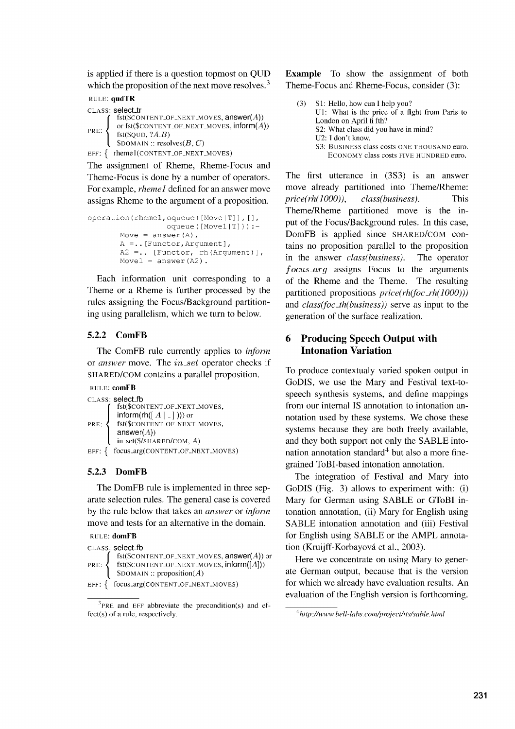is applied if there is a question topmost on QUD which the proposition of the next move resolves.<sup>3</sup>

```
RULE: qudTR
CLASS: select_tr
            fst(SCONTENT_OF_NEXT_Moves, answer(A))PRE: \left\{ \begin{array}{c} \text{or} \text{is}(1,0) \\ \text{fs}(1,0) \text{ or } 2AB \end{array} \right\}or fst($CONTENT_OF_NEXT_MOVES, \mathsf{inform}(A))
            $DOMAIN :: resolves(B, C)
```
EFF:  $\{$  rhemel(CONTENT\_OF\_NEXT\_MOVES)

The assignment of Rheme, Rheme-Focus and Theme-Focus is done by a number of operators. For example, *rhemel* defined for an answer move assigns Rheme to the argument of a proposition.

```
operation (rheme1, oqueue ([Move | T]), [],
                   oqueue([Move1 | T]) :-
       Move = answer(A),
       A =.. [Functor, Argument] ,
       A2 =.. [Functor, rh (Argument) ],
       Movel = answer( A2).
```
Each information unit corresponding to a Theme or a Rheme is further processed by the rules assigning the Focus/Background partitioning using parallelism, which we turn to below.

## 5.2.2 ComFB

The ComFB rule currently applies to *inform* or *answer* move. The *in\_set* operator checks if SHARED/COM contains a parallel proposition.

```
RULE: comFB
CLASS: select_fb
        fst($coNTENT_oF_NExT_movEs,
        \mathsf{inform}(\mathsf{rh}([A \mid -]))) or
PRE: St($CONTENT_OF_NEXT_MOVES,
        answer(A))
        in_set(S/SHARED/COM, A)
EFF: \{ focus_arg(CONTENT_OF_NEXT_MOVES)
```
## 5.2.3 DomFB

The DomFB rule is implemented in three separate selection rules. The general case is covered by the rule below that takes an *answer* or *inform* move and tests for an alternative in the domain.

```
RULE: domFB
```

|                | CLASS: select_fb                                                 |
|----------------|------------------------------------------------------------------|
|                | $fst ($\texttt{CONTENT_OF\_NEXT\_MOVES}, \texttt{answer}(A))$ or |
| PRE: $\langle$ | $fst(\$CONTENT_OF_NEXT_Moves, inform([A]))$                      |
|                | $S$ DOMAIN:: proposition(A)                                      |
|                | EFF: { focus_arg(CONTENT_OF_NEXT_MOVES)                          |

 $3$ PRE and EFF abbreviate the precondition(s) and effect(s) of a rule, respectively.

Example To show the assignment of both Theme-Focus and Rheme-Focus, consider (3):

(3) Si: Hello, how can I help you? Ul: What is the price of a fight from Paris to London on April fi fth? S2: What class did you have in mind? U2: I don't know. S3: BUSINESS class costs ONE THOUSAND euro. ECONOMY class costs FIVE HUNDRED euro.

The first utterance in (3S3) is an answer move already partitioned into Theme/Rheme: *price(rh(1000)), class(business).* This Theme/Rheme partitioned move is the input of the Focus/Background rules. In this case, DomFB is applied since SHARED/COM contains no proposition parallel to the proposition in the answer *class(business).* The operator *f ocus \_arg* assigns Focus to the arguments of the Rheme and the Theme. The resulting partitioned propositions *price(rh(foc\_rh(1000)))* and *class(foc\_th(business))* serve as input to the generation of the surface realization.

## **6 Producing Speech Output with Intonation Variation**

To produce contextualy varied spoken output in GoDIS, we use the Mary and Festival text-tospeech synthesis systems, and define mappings from our internal IS annotation to intonation annotation used by these systems. We chose these systems because they are both freely available, and they both support not only the SABLE intonation annotation standard<sup>4</sup> but also a more finegrained ToBI-based intonation annotation.

The integration of Festival and Mary into GoDIS (Fig. 3) allows to experiment with: (i) Mary for German using SABLE or GToBI intonation annotation, (ii) Mary for English using SABLE intonation annotation and (iii) Festival for English using SABLE or the AMPL annotation (Kruijff-Korbayová et al., 2003).

Here we concentrate on using Mary to generate German output, because that is the version for which we already have evaluation results. An evaluation of the English version is forthcoming

*<sup>4</sup> h ttp://www.bell-labs.com/project/tts/sable.html*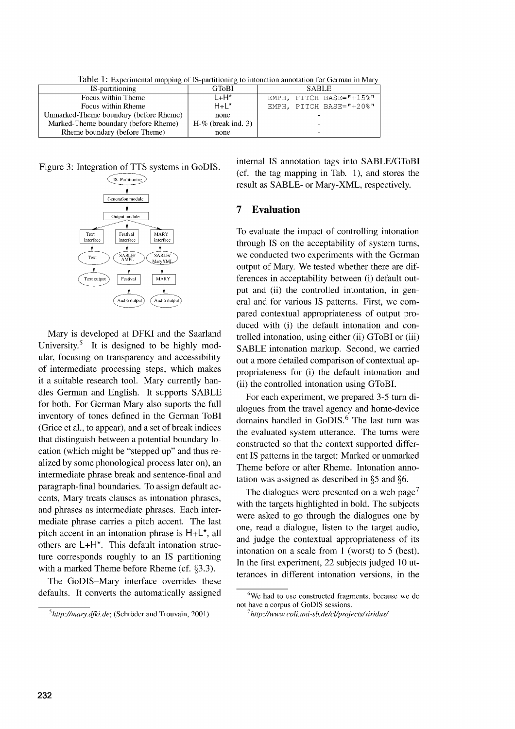Table 1: Experimental mapping of IS-partitioning to intonation annotation for German in Mary

| IS-partitioning                        | <b>GToBI</b>          | <b>SABLE</b>            |
|----------------------------------------|-----------------------|-------------------------|
| Focus within Theme                     | L+H*                  | EMPH, PITCH BASE="+15%" |
| Focus within Rheme                     | $H + L^*$             | EMPH, PITCH BASE="+20%" |
| Unmarked-Theme boundary (before Rheme) | none                  |                         |
| Marked-Theme boundary (before Rheme)   | $H-\%$ (break ind, 3) |                         |
| Rheme boundary (before Theme)          | none                  |                         |

Figure 3: Integration of TTS systems in GoDIS.



Mary is developed at DFKI and the Saarland University.<sup>5</sup> It is designed to be highly modular, focusing on transparency and accessibility of intermediate processing steps, which makes it a suitable research tool. Mary currently handles German and English. It supports SABLE for both. For German Mary also suports the full inventory of tones defined in the German ToBI (Grice et al., to appear), and a set of break indices that distinguish between a potential boundary location (which might be "stepped up" and thus realized by some phonological process later on), an intermediate phrase break and sentence-final and paragraph-final boundaries. To assign default accents, Mary treats clauses as intonation phrases, and phrases as intermediate phrases. Each intermediate phrase carries a pitch accent. The last pitch accent in an intonation phrase is **H+L\*,** all others are **L+H\*.** This default intonation structure corresponds roughly to an IS partitioning with a marked Theme before Rheme (cf. §3.3).

The GoDIS—Mary interface overrides these defaults. It converts the automatically assigned internal IS annotation tags into SABLE/GToBI (cf. the tag mapping in Tab. 1), and stores the result as SABLE- or Mary-XML, respectively.

## **7 Evaluation**

To evaluate the impact of controlling intonation through IS on the acceptability of system turns, we conducted two experiments with the German output of Mary. We tested whether there are differences in acceptability between (i) default output and (ii) the controlled intontation, in general and for various IS patterns. First, we compared contextual appropriateness of output produced with (i) the default intonation and controlled intonation, using either (ii) GToBI or (iii) SABLE intonation markup. Second, we carried out a more detailed comparison of contextual appropriateness for (i) the default intonation and (ii) the controlled intonation using GToBI.

For each experiment, we prepared 3-5 turn dialogues from the travel agency and home-device domains handled in GoDIS.<sup>6</sup> The last turn was the evaluated system utterance. The turns were constructed so that the context supported different IS patterns in the target: Marked or unmarked Theme before or after Rheme. Intonation annotation was assigned as described in §5 and §6.

The dialogues were presented on a web page<sup>7</sup> with the targets highlighted in bold. The subjects were asked to go through the dialogues one by one, read a dialogue, listen to the target audio, and judge the contextual appropriateness of its intonation on a scale from 1 (worst) to 5 (best). In the first experiment, 22 subjects judged 10 utterances in different intonation versions, in the

<sup>&</sup>lt;sup>5</sup> http://mary.dfki.de: (Schröder and Trouvain, 2001)

<sup>&</sup>lt;sup>6</sup>We had to use constructed fragments, because we do not have a corpus of GoDIS sessions.

<sup>7</sup> *http://www.coli. uni-sb.de/cl/projects/siridus/*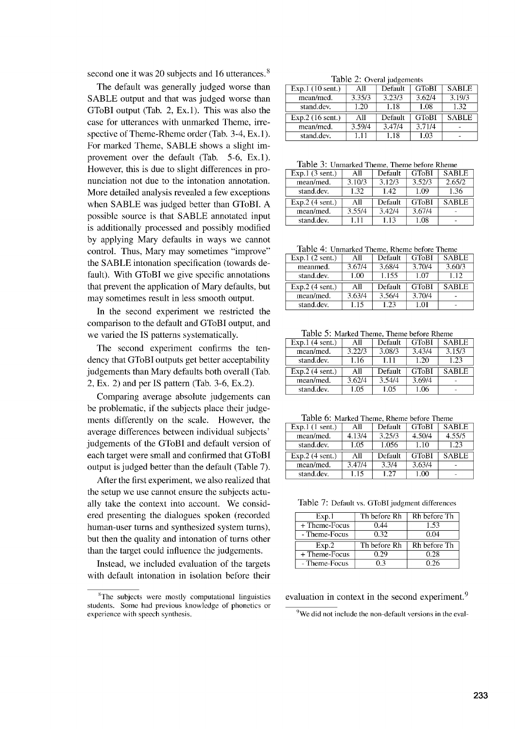second one it was 20 subjects and 16 utterances.<sup>8</sup>

The default was generally judged worse than SABLE output and that was judged worse than GToBI output (Tab. 2, Ex.1). This was also the case for utterances with unmarked Theme, irrespective of Theme-Rheme order (Tab. 3-4, Ex. 1). For marked Theme, SABLE shows a slight improvement over the default (Tab. 5-6, Ex.1). However, this is due to slight differences in pronunciation not due to the intonation annotation. More detailed analysis revealed a few exceptions when SABLE was judged better than GToBI. A possible source is that SABLE annotated input is additionally processed and possibly modified by applying Mary defaults in ways we cannot control. Thus, Mary may sometimes "improve" the SABLE intonation specification (towards default). With GToBT we give specific annotations that prevent the application of Mary defaults, but may sometimes result in less smooth output.

In the second experiment we restricted the comparison to the default and GToBI output, and we varied the IS patterns systematically.

The second experiment confirms the tendency that GToBI outputs get better acceptability judgements than Mary defaults both overall (Tab. 2, Ex. 2) and per IS pattern (Tab. 3-6, Ex.2).

Comparing average absolute judgements can be problematic, if the subjects place their judgements differently on the scale. However, the average differences between individual subjects' judgements of the GToBI and default version of each target were small and confirmed that GToBI output is judged better than the default (Table 7).

After the first experiment, we also realized that the setup we use cannot ensure the subjects actually take the context into account. We considered presenting the dialogues spoken (recorded human-user turns and synthesized system turns), but then the quality and intonation of turns other than the target could influence the judgements.

Instead, we included evaluation of the targets with default intonation in isolation before their

Table 2: Overal judgements

| Exp.1(10 sent.)    | All    | Default | <b>GToBI</b> | <b>SABLE</b> |
|--------------------|--------|---------|--------------|--------------|
| mean/med.          | 3.35/3 | 3.23/3  | 3.62/4       | 3.19/3       |
| stand.dev.         | 1.20   | 1.18    | 1.08         | 1.32         |
| $Exp.2$ (16 sent.) | All    | Default | <b>GToBI</b> | <b>SABLE</b> |
| mean/med.          | 3.59/4 | 3.47/4  | 3.71/4       |              |
| stand.dev.         | 1.11   | 1.18    | 1.03         |              |

Table 3: Unmarked Theme, Theme before Rheme

| Exp.1(3 sent.)    | All    | Default | <b>GToBI</b> | <b>SABLE</b> |
|-------------------|--------|---------|--------------|--------------|
| mean/med.         | 3.10/3 | 3.12/3  | 3.52/3       | 2.65/2       |
| stand.dev.        | 1.32   | 1.42    | 1.09         | 1.36         |
|                   |        |         |              |              |
| $Exp.2$ (4 sent.) | All    | Default | <b>GToBI</b> | <b>SABLE</b> |
| mean/med.         | 3.55/4 | 3.42/4  | 3.67/4       |              |

Table 4: Unmarked Theme, Rheme before Theme

| Exp.1(2 sent.)    | All    | Default | <b>GToBI</b> | <b>SABLE</b> |
|-------------------|--------|---------|--------------|--------------|
| meanmed.          | 3.67/4 | 3.68/4  | 3.70/4       | 3.60/3       |
| stand.dev.        | 1.00   | 1.155   | 1.07         | 1.12         |
|                   |        |         |              |              |
| $Exp.2$ (4 sent.) | All    | Default | <b>GToBI</b> | <b>SABLE</b> |
| mean/med.         | 3.63/4 | 3.56/4  | 3.70/4       |              |

Table 5: Marked Theme, Theme before Rheme

| Exp.1(4 sent.)    | All    | Default | <b>GToBI</b> | <b>SABLE</b> |
|-------------------|--------|---------|--------------|--------------|
| mean/med.         | 3.22/3 | 3.08/3  | 3.43/4       | 3.15/3       |
| stand.dev.        | 1.16   | 1.11    | 1.20         | 1.23         |
|                   |        |         |              |              |
| $Exp.2$ (4 sent.) | All    | Default | <b>GToBI</b> | <b>SARLE</b> |
| mean/med.         | 3.62/4 | 3.54/4  | 3.69/4       |              |

Table 6: Marked Theme, Rheme before Theme

| $Exp.1$ (1 sent.) | All    | Default | <b>GToBI</b> | <b>SABLE</b> |
|-------------------|--------|---------|--------------|--------------|
| mean/med.         | 4.13/4 | 3.25/3  | 4.50/4       | 4.55/5       |
| stand.dev.        | 1.05   | 1.056   | 1.10         | 1.23         |
|                   |        |         |              |              |
| $Exp.2$ (4 sent.) | All    | Default | <b>GToBI</b> | <b>SABLE</b> |
| mean/med.         | 3.47/4 | 3.3/4   | 3.63/4       |              |

Table 7: Default vs. GToBI judgment differences

| Exp.1         | Th before Rh | Rh before Th |
|---------------|--------------|--------------|
| + Theme-Focus | 0.44         | 1.53         |
| - Theme-Focus | 0.32         | 0.04         |
|               |              |              |
| Exp.2         | Th before Rh | Rh before Th |
| + Theme-Focus | 0.29         | 0.28         |

evaluation in context in the second experiment.<sup>9</sup>

 $9$ We did not include the non-default versions in the eval-

<sup>&</sup>lt;sup>8</sup>The subjects were mostly computational linguistics students. Some had previous knowledge of phonetics or experience with speech synthesis.